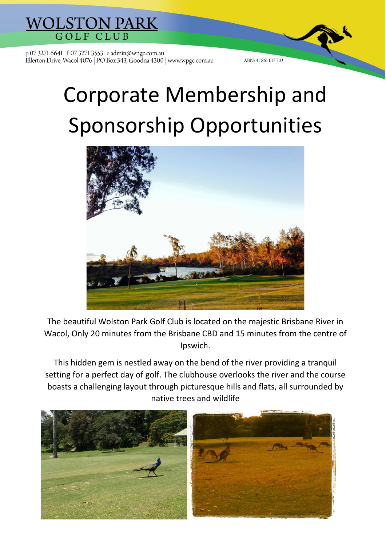

## Corporate Membership and Sponsorship Opportunities

ABN: 41 861 017 703



The beautiful Wolston Park Golf Club is located on the majestic Brisbane River in Wacol, Only 20 minutes from the Brisbane CBD and 15 minutes from the centre of Ipswich.

This hidden gem is nestled away on the bend of the river providing a tranquil setting for a perfect day of golf. The clubhouse overlooks the river and the course boasts a challenging layout through picturesque hills and flats, all surrounded by native trees and wildlife

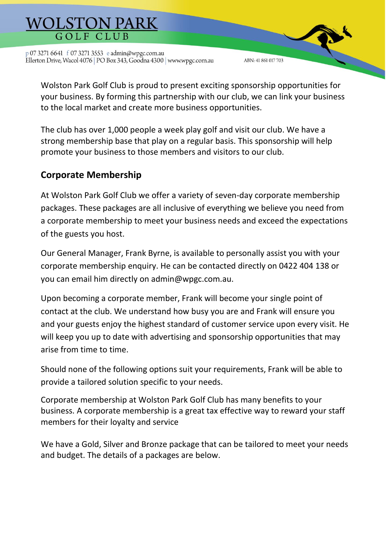Wolston Park Golf Club is proud to present exciting sponsorship opportunities for your business. By forming this partnership with our club, we can link your business to the local market and create more business opportunities.

ABN: 41 861 017 703

The club has over 1,000 people a week play golf and visit our club. We have a strong membership base that play on a regular basis. This sponsorship will help promote your business to those members and visitors to our club.

### **Corporate Membership**

At Wolston Park Golf Club we offer a variety of seven-day corporate membership packages. These packages are all inclusive of everything we believe you need from a corporate membership to meet your business needs and exceed the expectations of the guests you host.

Our General Manager, Frank Byrne, is available to personally assist you with your corporate membership enquiry. He can be contacted directly on 0422 404 138 or you can email him directly on admin@wpgc.com.au.

Upon becoming a corporate member, Frank will become your single point of contact at the club. We understand how busy you are and Frank will ensure you and your guests enjoy the highest standard of customer service upon every visit. He will keep you up to date with advertising and sponsorship opportunities that may arise from time to time.

Should none of the following options suit your requirements, Frank will be able to provide a tailored solution specific to your needs.

Corporate membership at Wolston Park Golf Club has many benefits to your business. A corporate membership is a great tax effective way to reward your staff members for their loyalty and service

We have a Gold, Silver and Bronze package that can be tailored to meet your needs and budget. The details of a packages are below.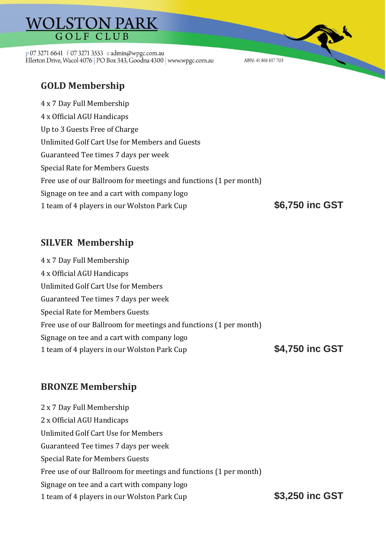# **WOLSTON PARK**

p 07 3271 6641 f 07 3271 3553 e admin@wpgc.com.au Ellerton Drive, Wacol 4076 | PO Box 343, Goodna 4300 | www.wpgc.com.au

ABN: 41 861 017 703

## **GOLD Membership**

4 x 7 Day Full Membership 4 x Official AGU Handicaps Up to 3 Guests Free of Charge Unlimited Golf Cart Use for Members and Guests Guaranteed Tee times 7 days per week Special Rate for Members Guests Free use of our Ballroom for meetings and functions (1 per month) Signage on tee and a cart with company logo 1 team of 4 players in our Wolston Park Cup **\$6,750 inc GST**

#### **SILVER Membership**

4 x 7 Day Full Membership 4 x Official AGU Handicaps Unlimited Golf Cart Use for Members Guaranteed Tee times 7 days per week Special Rate for Members Guests Free use of our Ballroom for meetings and functions (1 per month) Signage on tee and a cart with company logo 1 team of 4 players in our Wolston Park Cup **\$4,750 inc GST**

#### **BRONZE Membership**

2 x 7 Day Full Membership 2 x Official AGU Handicaps Unlimited Golf Cart Use for Members Guaranteed Tee times 7 days per week Special Rate for Members Guests Free use of our Ballroom for meetings and functions (1 per month) Signage on tee and a cart with company logo 1 team of 4 players in our Wolston Park Cup **\$3,250 inc GST**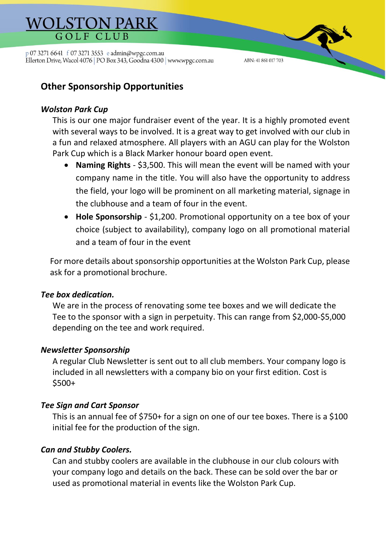ABN: 41 861 017 703

### **Other Sponsorship Opportunities**

#### *Wolston Park Cup*

This is our one major fundraiser event of the year. It is a highly promoted event with several ways to be involved. It is a great way to get involved with our club in a fun and relaxed atmosphere. All players with an AGU can play for the Wolston Park Cup which is a Black Marker honour board open event.

- **Naming Rights** \$3,500. This will mean the event will be named with your company name in the title. You will also have the opportunity to address the field, your logo will be prominent on all marketing material, signage in the clubhouse and a team of four in the event.
- **Hole Sponsorship** \$1,200. Promotional opportunity on a tee box of your choice (subject to availability), company logo on all promotional material and a team of four in the event

For more details about sponsorship opportunities at the Wolston Park Cup, please ask for a promotional brochure.

#### *Tee box dedication.*

We are in the process of renovating some tee boxes and we will dedicate the Tee to the sponsor with a sign in perpetuity. This can range from \$2,000-\$5,000 depending on the tee and work required.

#### *Newsletter Sponsorship*

A regular Club Newsletter is sent out to all club members. Your company logo is included in all newsletters with a company bio on your first edition. Cost is \$500+

#### *Tee Sign and Cart Sponsor*

This is an annual fee of \$750+ for a sign on one of our tee boxes. There is a \$100 initial fee for the production of the sign.

#### *Can and Stubby Coolers.*

Can and stubby coolers are available in the clubhouse in our club colours with your company logo and details on the back. These can be sold over the bar or used as promotional material in events like the Wolston Park Cup.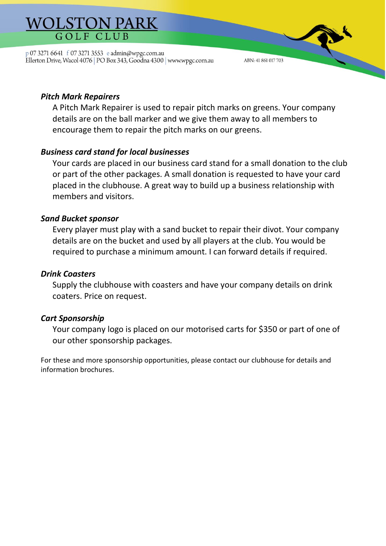#### *Pitch Mark Repairers*

A Pitch Mark Repairer is used to repair pitch marks on greens. Your company details are on the ball marker and we give them away to all members to encourage them to repair the pitch marks on our greens.

ABN: 41 861 017 703

#### *Business card stand for local businesses*

Your cards are placed in our business card stand for a small donation to the club or part of the other packages. A small donation is requested to have your card placed in the clubhouse. A great way to build up a business relationship with members and visitors.

#### *Sand Bucket sponsor*

Every player must play with a sand bucket to repair their divot. Your company details are on the bucket and used by all players at the club. You would be required to purchase a minimum amount. I can forward details if required.

#### *Drink Coasters*

Supply the clubhouse with coasters and have your company details on drink coaters. Price on request.

#### *Cart Sponsorship*

Your company logo is placed on our motorised carts for \$350 or part of one of our other sponsorship packages.

For these and more sponsorship opportunities, please contact our clubhouse for details and information brochures.